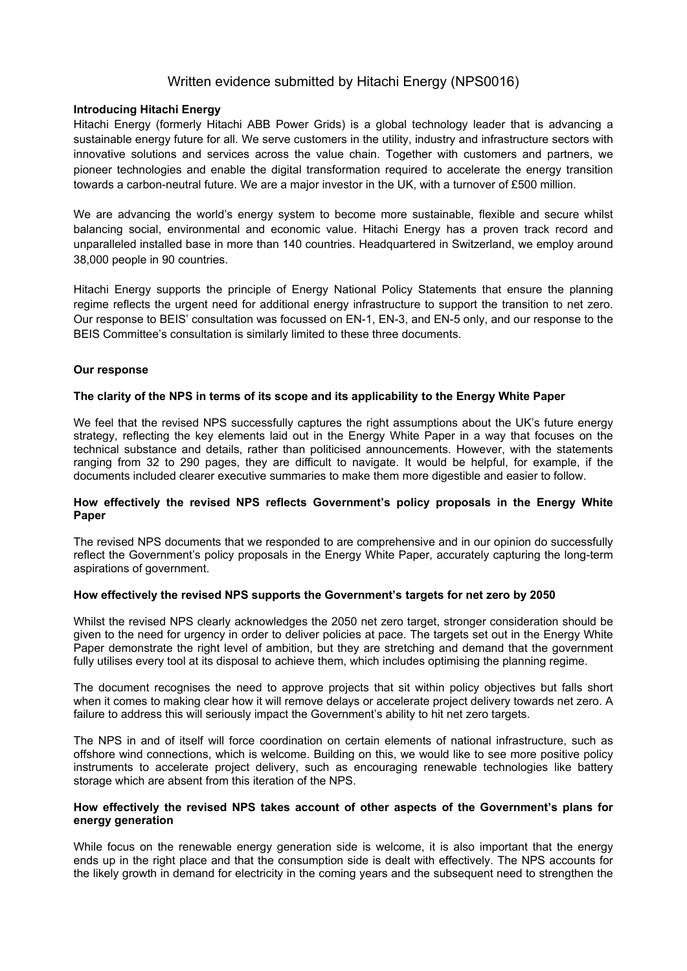# Written evidence submitted by Hitachi Energy (NPS0016)

## **Introducing Hitachi Energy**

Hitachi Energy (formerly Hitachi ABB Power Grids) is a global technology leader that is advancing a sustainable energy future for all. We serve customers in the utility, industry and infrastructure sectors with innovative solutions and services across the value chain. Together with customers and partners, we pioneer technologies and enable the digital transformation required to accelerate the energy transition towards a carbon-neutral future. We are a major investor in the UK, with a turnover of £500 million.

We are advancing the world's energy system to become more sustainable, flexible and secure whilst balancing social, environmental and economic value. Hitachi Energy has a proven track record and unparalleled installed base in more than 140 countries. Headquartered in Switzerland, we employ around 38,000 people in 90 countries.

Hitachi Energy supports the principle of Energy National Policy Statements that ensure the planning regime reflects the urgent need for additional energy infrastructure to support the transition to net zero. Our response to BEIS' consultation was focussed on EN-1, EN-3, and EN-5 only, and our response to the BEIS Committee's consultation is similarly limited to these three documents.

## **Our response**

## **The clarity of the NPS in terms of its scope and its applicability to the Energy White Paper**

We feel that the revised NPS successfully captures the right assumptions about the UK's future energy strategy, reflecting the key elements laid out in the Energy White Paper in a way that focuses on the technical substance and details, rather than politicised announcements. However, with the statements ranging from 32 to 290 pages, they are difficult to navigate. It would be helpful, for example, if the documents included clearer executive summaries to make them more digestible and easier to follow.

## **How effectively the revised NPS reflects Government's policy proposals in the Energy White Paper**

The revised NPS documents that we responded to are comprehensive and in our opinion do successfully reflect the Government's policy proposals in the Energy White Paper, accurately capturing the long-term aspirations of government.

#### **How effectively the revised NPS supports the Government's targets for net zero by 2050**

Whilst the revised NPS clearly acknowledges the 2050 net zero target, stronger consideration should be given to the need for urgency in order to deliver policies at pace. The targets set out in the Energy White Paper demonstrate the right level of ambition, but they are stretching and demand that the government fully utilises every tool at its disposal to achieve them, which includes optimising the planning regime.

The document recognises the need to approve projects that sit within policy objectives but falls short when it comes to making clear how it will remove delays or accelerate project delivery towards net zero. A failure to address this will seriously impact the Government's ability to hit net zero targets.

The NPS in and of itself will force coordination on certain elements of national infrastructure, such as offshore wind connections, which is welcome. Building on this, we would like to see more positive policy instruments to accelerate project delivery, such as encouraging renewable technologies like battery storage which are absent from this iteration of the NPS.

#### **How effectively the revised NPS takes account of other aspects of the Government's plans for energy generation**

While focus on the renewable energy generation side is welcome, it is also important that the energy ends up in the right place and that the consumption side is dealt with effectively. The NPS accounts for the likely growth in demand for electricity in the coming years and the subsequent need to strengthen the